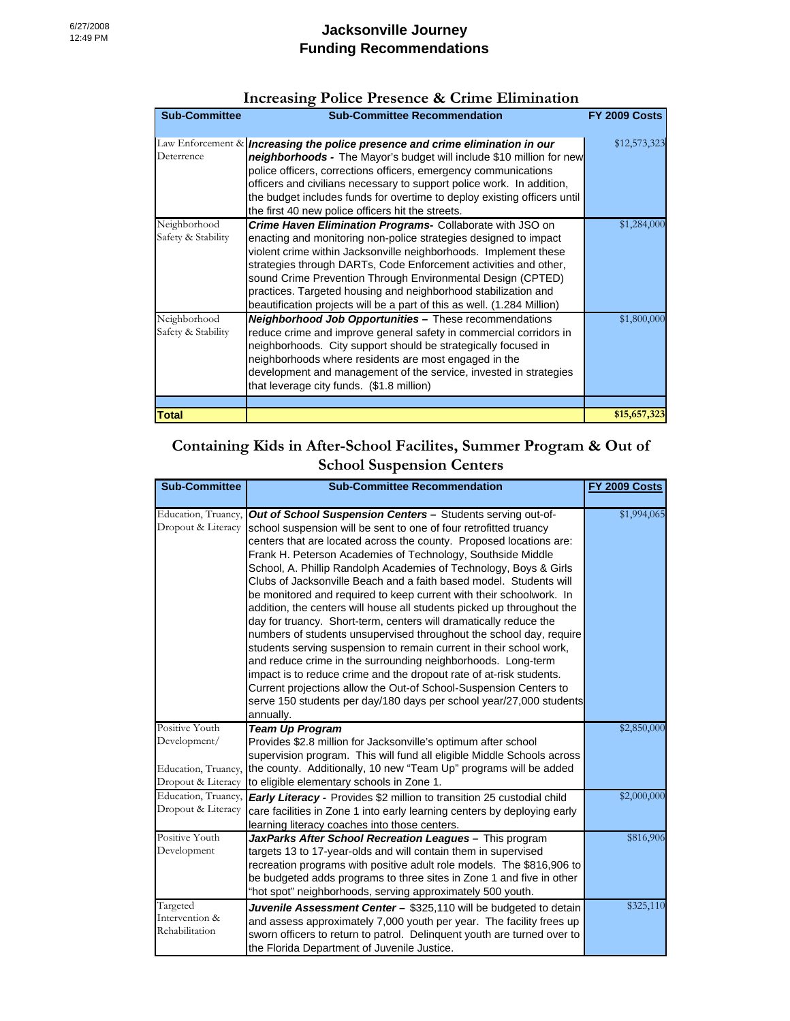| <b>Sub-Committee</b>               | <b>Sub-Committee Recommendation</b>                                                                                                                                                                                                                                                                                                                                                                                                                                               | <b>FY 2009 Costs</b> |
|------------------------------------|-----------------------------------------------------------------------------------------------------------------------------------------------------------------------------------------------------------------------------------------------------------------------------------------------------------------------------------------------------------------------------------------------------------------------------------------------------------------------------------|----------------------|
| Deterrence                         | Law Enforcement $\&$ lincreasing the police presence and crime elimination in our<br>neighborhoods - The Mayor's budget will include \$10 million for new<br>police officers, corrections officers, emergency communications<br>officers and civilians necessary to support police work. In addition,<br>the budget includes funds for overtime to deploy existing officers until<br>the first 40 new police officers hit the streets.                                            | \$12,573,323         |
| Neighborhood<br>Safety & Stability | Crime Haven Elimination Programs- Collaborate with JSO on<br>enacting and monitoring non-police strategies designed to impact<br>violent crime within Jacksonville neighborhoods. Implement these<br>strategies through DARTs, Code Enforcement activities and other,<br>sound Crime Prevention Through Environmental Design (CPTED)<br>practices. Targeted housing and neighborhood stabilization and<br>beautification projects will be a part of this as well. (1.284 Million) | \$1,284,000          |
| Neighborhood<br>Safety & Stability | <b>Neighborhood Job Opportunities - These recommendations</b><br>reduce crime and improve general safety in commercial corridors in<br>neighborhoods. City support should be strategically focused in<br>neighborhoods where residents are most engaged in the<br>development and management of the service, invested in strategies<br>that leverage city funds. (\$1.8 million)                                                                                                  | \$1,800,000          |
|                                    |                                                                                                                                                                                                                                                                                                                                                                                                                                                                                   |                      |
| <b>Total</b>                       |                                                                                                                                                                                                                                                                                                                                                                                                                                                                                   | \$15,657,323         |

## **Increasing Police Presence & Crime Elimination**

## **Containing Kids in After-School Facilites, Summer Program & Out of School Suspension Centers**

| <b>Sub-Committee</b>                                                        | <b>Sub-Committee Recommendation</b>                                                                                                                                                                                                                                                                                                                                                                                                                                                                                                                                                                                                                                                                                                                                                                                                                                                                                                                                                                                                                                                          | FY 2009 Costs |
|-----------------------------------------------------------------------------|----------------------------------------------------------------------------------------------------------------------------------------------------------------------------------------------------------------------------------------------------------------------------------------------------------------------------------------------------------------------------------------------------------------------------------------------------------------------------------------------------------------------------------------------------------------------------------------------------------------------------------------------------------------------------------------------------------------------------------------------------------------------------------------------------------------------------------------------------------------------------------------------------------------------------------------------------------------------------------------------------------------------------------------------------------------------------------------------|---------------|
| Education, Truancy,<br>Dropout & Literacy                                   | <b>Out of School Suspension Centers - Students serving out-of-</b><br>school suspension will be sent to one of four retrofitted truancy<br>centers that are located across the county. Proposed locations are:<br>Frank H. Peterson Academies of Technology, Southside Middle<br>School, A. Phillip Randolph Academies of Technology, Boys & Girls<br>Clubs of Jacksonville Beach and a faith based model. Students will<br>be monitored and required to keep current with their schoolwork. In<br>addition, the centers will house all students picked up throughout the<br>day for truancy. Short-term, centers will dramatically reduce the<br>numbers of students unsupervised throughout the school day, require<br>students serving suspension to remain current in their school work,<br>and reduce crime in the surrounding neighborhoods. Long-term<br>impact is to reduce crime and the dropout rate of at-risk students.<br>Current projections allow the Out-of School-Suspension Centers to<br>serve 150 students per day/180 days per school year/27,000 students<br>annually. | \$1,994,065   |
| Positive Youth<br>Development/<br>Education, Truancy,<br>Dropout & Literacy | <b>Team Up Program</b><br>Provides \$2.8 million for Jacksonville's optimum after school<br>supervision program. This will fund all eligible Middle Schools across<br>the county. Additionally, 10 new "Team Up" programs will be added<br>to eligible elementary schools in Zone 1.                                                                                                                                                                                                                                                                                                                                                                                                                                                                                                                                                                                                                                                                                                                                                                                                         | \$2,850,000   |
| Education, Truancy,<br>Dropout & Literacy                                   | Early Literacy - Provides \$2 million to transition 25 custodial child<br>care facilities in Zone 1 into early learning centers by deploying early<br>learning literacy coaches into those centers.                                                                                                                                                                                                                                                                                                                                                                                                                                                                                                                                                                                                                                                                                                                                                                                                                                                                                          | \$2,000,000   |
| Positive Youth<br>Development                                               | JaxParks After School Recreation Leagues - This program<br>targets 13 to 17-year-olds and will contain them in supervised<br>recreation programs with positive adult role models. The \$816,906 to<br>be budgeted adds programs to three sites in Zone 1 and five in other<br>"hot spot" neighborhoods, serving approximately 500 youth.                                                                                                                                                                                                                                                                                                                                                                                                                                                                                                                                                                                                                                                                                                                                                     | \$816,906     |
| Targeted<br>Intervention &<br>Rehabilitation                                | Juvenile Assessment Center - \$325,110 will be budgeted to detain<br>and assess approximately 7,000 youth per year. The facility frees up<br>sworn officers to return to patrol. Delinquent youth are turned over to<br>the Florida Department of Juvenile Justice.                                                                                                                                                                                                                                                                                                                                                                                                                                                                                                                                                                                                                                                                                                                                                                                                                          | \$325,110     |